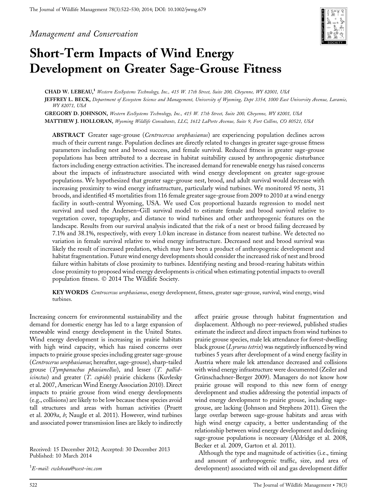# Management and Conservation



# Short-Term Impacts of Wind Energy Development on Greater Sage-Grouse Fitness

CHAD W. LEBEAU,<sup>1</sup> Western EcoSystems Technology, Inc., 415 W. 17th Street, Suite 200, Cheyenne, WY 82001, USA JEFFREY L. BECK, Department of Ecosystem Science and Management, University of Wyoming, Dept 3354, 1000 East University Avenue, Laramie, WY 82071, USA

GREGORY D. JOHNSON, Western EcoSystems Technology, Inc., 415 W. 17th Street, Suite 200, Cheyenne, WY 82001, USA MATTHEW J. HOLLORAN, Wyoming Wildlife Consultants, LLC, 1612 LaPorte Avenue, Suite 9, Fort Collins, CO 80521, USA

ABSTRACT Greater sage-grouse (Centrocercus urophasianus) are experiencing population declines across much of their current range. Population declines are directly related to changes in greater sage-grouse fitness parameters including nest and brood success, and female survival. Reduced fitness in greater sage-grouse populations has been attributed to a decrease in habitat suitability caused by anthropogenic disturbance factors including energy extraction activities. The increased demand for renewable energy has raised concerns about the impacts of infrastructure associated with wind energy development on greater sage-grouse populations. We hypothesized that greater sage-grouse nest, brood, and adult survival would decrease with increasing proximity to wind energy infrastructure, particularly wind turbines. We monitored 95 nests, 31 broods, and identified 45 mortalities from 116 female greater sage-grouse from 2009 to 2010 at a wind energy facility in south-central Wyoming, USA. We used Cox proportional hazards regression to model nest survival and used the Andersen–Gill survival model to estimate female and brood survival relative to vegetation cover, topography, and distance to wind turbines and other anthropogenic features on the landscape. Results from our survival analysis indicated that the risk of a nest or brood failing decreased by 7.1% and 38.1%, respectively, with every 1.0 km increase in distance from nearest turbine. We detected no variation in female survival relative to wind energy infrastructure. Decreased nest and brood survival was likely the result of increased predation, which may have been a product of anthropogenic development and habitat fragmentation. Future wind energy developments should consider the increased risk of nest and brood failure within habitats of close proximity to turbines. Identifying nesting and brood-rearing habitats within close proximity to proposed wind energy developments is critical when estimating potential impacts to overall population fitness. 2014 The Wildlife Society.

KEY WORDS Centrocercus urophasianus, energy development, fitness, greater sage-grouse, survival, wind energy, wind turbines.

Increasing concern for environmental sustainability and the demand for domestic energy has led to a large expansion of renewable wind energy development in the United States. Wind energy development is increasing in prairie habitats with high wind capacity, which has raised concerns over impacts to prairie grouse species including greater sage-grouse (Centrocerus urophasianus; hereafter, sage-grouse), sharp-tailed grouse (Tympanuchus phasianellus), and lesser (T. pallidicinctus) and greater (T. cupido) prairie chickens (Kuvlesky et al. 2007, American Wind Energy Association 2010). Direct impacts to prairie grouse from wind energy developments (e.g., collisions) are likely to be low because these species avoid tall structures and areas with human activities (Pruett et al. 2009a, b; Naugle et al. 2011). However, wind turbines and associated power transmission lines are likely to indirectly

Received: 15 December 2012; Accepted: 30 December 2013 Published: 10 March 2014

1 E-mail: cwlebeau@west-inc.com

affect prairie grouse through habitat fragmentation and displacement. Although no peer-reviewed, published studies estimate the indirect and direct impacts from wind turbines to prairie grouse species, male lek attendance for forest-dwelling black grouse (Lyrurus tetrix) was negatively influenced by wind turbines 5 years after development of a wind energy facility in Austria where male lek attendance decreased and collisions with wind energy infrastructure were documented (Zeiler and Grünschachner-Berger 2009). Managers do not know how prairie grouse will respond to this new form of energy development and studies addressing the potential impacts of wind energy development to prairie grouse, including sagegrouse, are lacking (Johnson and Stephens 2011). Given the large overlap between sage-grouse habitats and areas with high wind energy capacity, a better understanding of the relationship between wind energy development and declining sage-grouse populations is necessary (Aldridge et al. 2008, Becker et al. 2009, Garton et al. 2011).

Although the type and magnitude of activities (i.e., timing and amount of anthropogenic traffic, size, and area of development) associated with oil and gas development differ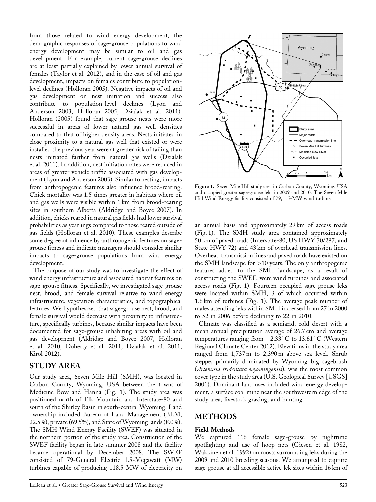from those related to wind energy development, the demographic responses of sage-grouse populations to wind energy development may be similar to oil and gas development. For example, current sage-grouse declines are at least partially explained by lower annual survival of females (Taylor et al. 2012), and in the case of oil and gas development, impacts on females contribute to populationlevel declines (Holloran 2005). Negative impacts of oil and gas development on nest initiation and success also contribute to population-level declines (Lyon and Anderson 2003, Holloran 2005, Dzialak et al. 2011). Holloran (2005) found that sage-grouse nests were more successful in areas of lower natural gas well densities compared to that of higher density areas. Nests initiated in close proximity to a natural gas well that existed or were installed the previous year were at greater risk of failing than nests initiated farther from natural gas wells (Dzialak et al. 2011). In addition, nest initiation rates were reduced in areas of greater vehicle traffic associated with gas development (Lyon and Anderson 2003). Similar to nesting, impacts from anthropogenic features also influence brood-rearing. Chick mortality was 1.5 times greater in habitats where oil and gas wells were visible within 1 km from brood-rearing sites in southern Alberta (Aldridge and Boyce 2007). In addition, chicks reared in natural gas fields had lower survival probabilities as yearlings compared to those reared outside of gas fields (Holloran et al. 2010). These examples describe some degree of influence by anthropogenic features on sagegrouse fitness and indicate managers should consider similar impacts to sage-grouse populations from wind energy development.

The purpose of our study was to investigate the effect of wind energy infrastructure and associated habitat features on sage-grouse fitness. Specifically, we investigated sage-grouse nest, brood, and female survival relative to wind energy infrastructure, vegetation characteristics, and topographical features. We hypothesized that sage-grouse nest, brood, and female survival would decrease with proximity to infrastructure, specifically turbines, because similar impacts have been documented for sage-grouse inhabiting areas with oil and gas development (Aldridge and Boyce 2007, Holloran et al. 2010, Doherty et al. 2011, Dzialak et al. 2011, Kirol 2012).

# STUDY AREA

Our study area, Seven Mile Hill (SMH), was located in Carbon County, Wyoming, USA between the towns of Medicine Bow and Hanna (Fig. 1). The study area was positioned north of Elk Mountain and Interstate-80 and south of the Shirley Basin in south-central Wyoming. Land ownership included Bureau of Land Management (BLM; 22.5%), private (69.5%), and State of Wyoming lands (8.0%). The SMH Wind Energy Facility (SWEF) was situated in the northern portion of the study area. Construction of the SWEF facility began in late summer 2008 and the facility became operational by December 2008. The SWEF consisted of 79-General Electric 1.5-Megawatt (MW) turbines capable of producing 118.5 MW of electricity on



Figure 1. Seven Mile Hill study area in Carbon County, Wyoming, USA and occupied greater sage-grouse leks in 2009 and 2010. The Seven Mile Hill Wind Energy facility consisted of 79, 1.5-MW wind turbines.

an annual basis and approximately 29 km of access roads (Fig. 1). The SMH study area contained approximately 50 km of paved roads (Interstate-80, US HWY 30/287, and State HWY 72) and 43 km of overhead transmission lines. Overhead transmission lines and paved roads have existed on the SMH landscape for >10 years. The only anthropogenic features added to the SMH landscape, as a result of constructing the SWEF, were wind turbines and associated access roads (Fig. 1). Fourteen occupied sage-grouse leks were located within SMH, 3 of which occurred within 1.6 km of turbines (Fig. 1). The average peak number of males attending leks within SMH increased from 27 in 2000 to 52 in 2006 before declining to 22 in 2010.

Climate was classified as a semiarid, cold desert with a mean annual precipitation average of 26.7 cm and average temperatures ranging from  $-2.33^{\circ}$  C to 13.61° C (Western Regional Climate Center 2012). Elevations in the study area ranged from 1,737 m to 2,390 m above sea level. Shrub steppe, primarily dominated by Wyoming big sagebrush (Artemisia tridentata wyomingensis), was the most common cover type in the study area (U.S. Geological Survey [USGS] 2001). Dominant land uses included wind energy development, a surface coal mine near the southwestern edge of the study area, livestock grazing, and hunting.

# METHODS

## Field Methods

We captured 116 female sage-grouse by nighttime spotlighting and use of hoop nets (Giesen et al. 1982, Wakkinen et al. 1992) on roosts surrounding leks during the 2009 and 2010 breeding seasons. We attempted to capture sage-grouse at all accessible active lek sites within 16 km of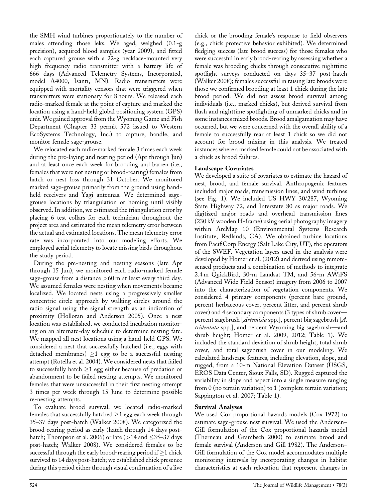the SMH wind turbines proportionately to the number of males attending those leks. We aged, weighed (0.1-g precision), acquired blood samples (year 2009), and fitted each captured grouse with a 22-g necklace-mounted very high frequency radio transmitter with a battery life of 666 days (Advanced Telemetry Systems, Incorporated, model A4000, Isanti, MN). Radio transmitters were equipped with mortality censors that were triggered when transmitters were stationary for 8 hours. We released each radio-marked female at the point of capture and marked the location using a hand-held global positioning system (GPS) unit. We gained approval from the Wyoming Game and Fish Department (Chapter 33 permit 572 issued to Western EcoSystems Technology, Inc.) to capture, handle, and monitor female sage-grouse.

We relocated each radio-marked female 3 times each week during the pre-laying and nesting period (Apr through Jun) and at least once each week for brooding and barren (i.e., females that were not nesting or brood-rearing) females from hatch or nest loss through 31 October. We monitored marked sage-grouse primarily from the ground using handheld receivers and Yagi antennas. We determined sagegrouse locations by triangulation or homing until visibly observed. In addition, we estimated the triangulation error by placing 6 test collars for each technician throughout the project area and estimated the mean telemetry error between the actual and estimated locations. The mean telemetry error rate was incorporated into our modeling efforts. We employed aerial telemetry to locate missing birds throughout the study period.

During the pre-nesting and nesting seasons (late Apr through 15 Jun), we monitored each radio-marked female sage-grouse from a distance >60 m at least every third day. We assumed females were nesting when movements became localized. We located nests using a progressively smaller concentric circle approach by walking circles around the radio signal using the signal strength as an indication of proximity (Holloran and Anderson 2005). Once a nest location was established, we conducted incubation monitoring on an alternate-day schedule to determine nesting fate. We mapped all nest locations using a hand-held GPS. We considered a nest that successfully hatched (i.e., eggs with detached membranes)  $\geq 1$  egg to be a successful nesting attempt (Rotella et al. 2004). We considered nests that failed to successfully hatch  $\geq 1$  egg either because of predation or abandonment to be failed nesting attempts. We monitored females that were unsuccessful in their first nesting attempt 3 times per week through 15 June to determine possible re-nesting attempts.

To evaluate brood survival, we located radio-marked females that successfully hatched  $\geq$ 1 egg each week through 35–37 days post-hatch (Walker 2008). We categorized the brood-rearing period as early (hatch through 14 days posthatch; Thompson et al. 2006) or late ( $>$ 14 and  $\leq$ 35–37 days post-hatch; Walker 2008). We considered females to be successful through the early brood-rearing period if  $\geq$ 1 chick survived to 14 days post-hatch; we established chick presence during this period either through visual confirmation of a live

chick or the brooding female's response to field observers (e.g., chick protective behavior exhibited). We determined fledging success (late brood success) for those females who were successful in early brood-rearing by assessing whether a female was brooding chicks through consecutive nighttime spotlight surveys conducted on days 35–37 post-hatch (Walker 2008); females successful in raising late broods were those we confirmed brooding at least 1 chick during the late brood period. We did not assess brood survival among individuals (i.e., marked chicks), but derived survival from flush and nighttime spotlighting of unmarked chicks and in some instances mixed broods. Brood amalgamation may have occurred, but we were concerned with the overall ability of a female to successfully rear at least 1 chick so we did not account for brood mixing in this analysis. We treated instances where a marked female could not be associated with a chick as brood failures.

## Landscape Covariates

We developed a suite of covariates to estimate the hazard of nest, brood, and female survival. Anthropogenic features included major roads, transmission lines, and wind turbines (see Fig. 1). We included US HWY 30/287, Wyoming State Highway 72, and Interstate 80 as major roads. We digitized major roads and overhead transmission lines (230 kV wooden H-frame) using aerial photography imagery within ArcMap 10 (Environmental Systems Research Institute, Redlands, CA). We obtained turbine locations from PacifiCorp Energy (Salt Lake City, UT), the operators of the SWEF. Vegetation layers used in the analysis were developed by Homer et al. (2012) and derived using remotesensed products and a combination of methods to integrate 2.4 m QuickBird, 30-m Landsat TM, and 56-m AWiFS (Advanced Wide Field Sensor) imagery from 2006 to 2007 into the characterization of vegetation components. We considered 4 primary components (percent bare ground, percent herbaceous cover, percent litter, and percent shrub cover) and 4 secondary components (3 types of shrub cover percent sagebrush [Artemisia spp.], percent big sagebrush [A. tridentata spp.], and percent Wyoming big sagebrush—and shrub height; Homer et al. 2009, 2012; Table 1). We included the standard deviation of shrub height, total shrub cover, and total sagebrush cover in our modeling. We calculated landscape features, including elevation, slope, and rugged, from a 10-m National Elevation Dataset (USGS, EROS Data Center, Sioux Falls, SD). Rugged captured the variability in slope and aspect into a single measure ranging from 0 (no terrain variation) to 1 (complete terrain variation; Sappington et al. 2007; Table 1).

## Survival Analyses

We used Cox proportional hazards models (Cox 1972) to estimate sage-grouse nest survival. We used the Andersen– Gill formulation of the Cox proportional hazards model (Therneau and Grambsch 2000) to estimate brood and female survival (Anderson and Gill 1982). The Anderson– Gill formulation of the Cox model accommodates multiple monitoring intervals by incorporating changes in habitat characteristics at each relocation that represent changes in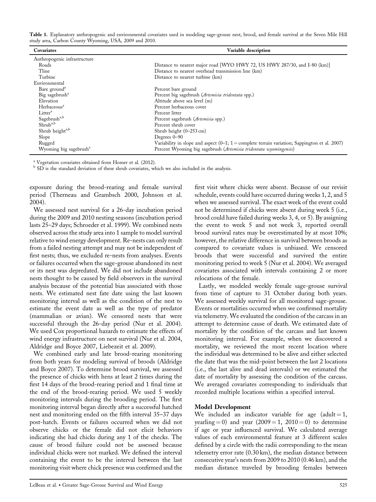| Table 1. Explanatory anthropogenic and environmental covariates used in modeling sage-grouse nest, brood, and female survival at the Seven Mile Hill |  |  |  |
|------------------------------------------------------------------------------------------------------------------------------------------------------|--|--|--|
| study area, Carbon County Wyoming, USA, 2009 and 2010.                                                                                               |  |  |  |

| Covariates                         | Variable description                                                                             |  |  |  |
|------------------------------------|--------------------------------------------------------------------------------------------------|--|--|--|
| Anthropogenic infrastructure       |                                                                                                  |  |  |  |
| Roads                              | Distance to nearest major road [WYO HWY 72, US HWY 287/30, and I-80 (km)]                        |  |  |  |
| Tline                              | Distance to nearest overhead transmission line (km)                                              |  |  |  |
| Turbine                            | Distance to nearest turbine (km)                                                                 |  |  |  |
| Environmental                      |                                                                                                  |  |  |  |
| Bare ground <sup>a</sup>           | Percent bare ground                                                                              |  |  |  |
| Big sagebrush <sup>a</sup>         | Percent big sagebrush (Artemisia tridentata spp.)                                                |  |  |  |
| Elevation                          | Altitude above sea level (m)                                                                     |  |  |  |
| Herbaceous <sup>a</sup>            | Percent herbaceous cover                                                                         |  |  |  |
| Litter <sup>a</sup>                | Percent litter                                                                                   |  |  |  |
| Sagebrush <sup>a,b</sup>           | Percent sagebrush (Artemisia spp.)                                                               |  |  |  |
| $Sh\n\negthinspace\text{m}}\n$     | Percent shrub cover                                                                              |  |  |  |
| Shrub height <sup>a,b</sup>        | Shrub height $(0-253 \text{ cm})$                                                                |  |  |  |
| Slope                              | Degrees 0-90                                                                                     |  |  |  |
| Rugged                             | Variability in slope and aspect $(0-1; 1)$ = complete terrain variation; Sappington et al. 2007) |  |  |  |
| Wyoming big sagebrush <sup>a</sup> | Percent Wyoming big sagebrush (Artemisia tridentata wyomingensis)                                |  |  |  |

Vegetation covariates obtained from Homer et al. (2012).

 $b$  SD is the standard deviation of these shrub covariates, which we also included in the analysis.

exposure during the brood-rearing and female survival period (Therneau and Grambsch 2000, Johnson et al. 2004).

We assessed nest survival for a 26-day incubation period during the 2009 and 2010 nesting seasons (incubation period lasts 25–29 days; Schroeder et al. 1999). We combined nests observed across the study area into 1 sample to model survival relative to wind energy development. Re-nests can only result from a failed nesting attempt and may not be independent of first nests; thus, we excluded re-nests from analyses. Events or failures occurred when the sage-grouse abandoned its nest or its nest was depredated. We did not include abandoned nests thought to be caused by field observers in the survival analysis because of the potential bias associated with those nests. We estimated nest fate date using the last known monitoring interval as well as the condition of the nest to estimate the event date as well as the type of predator (mammalian or avian). We censored nests that were successful through the 26-day period (Nur et al. 2004). We used Cox proportional hazards to estimate the effects of wind energy infrastructure on nest survival (Nur et al. 2004, Aldridge and Boyce 2007, Liebezeit et al. 2009).

We combined early and late brood-rearing monitoring from both years for modeling survival of broods (Aldridge and Boyce 2007). To determine brood survival, we assessed the presence of chicks with hens at least 2 times during the first 14 days of the brood-rearing period and 1 final time at the end of the brood-rearing period. We used 5 weekly monitoring intervals during the brooding period. The first monitoring interval began directly after a successful hatched nest and monitoring ended on the fifth interval 35–37 days post-hatch. Events or failures occurred when we did not observe chicks or the female did not elicit behaviors indicating she had chicks during any 1 of the checks. The cause of brood failure could not be assessed because individual chicks were not marked. We defined the interval containing the event to be the interval between the last monitoring visit where chick presence was confirmed and the

first visit where chicks were absent. Because of our revisit schedule, events could have occurred during weeks 1, 2, and 5 when we assessed survival. The exact week of the event could not be determined if chicks were absent during week 5 (i.e., brood could have failed during weeks 3, 4, or 5). By assigning the event to week 5 and not week 3, reported overall brood survival rates may be overestimated by at most 10%; however, the relative difference in survival between broods as compared to covariate values is unbiased. We censored broods that were successful and survived the entire monitoring period to week 5 (Nur et al. 2004). We averaged covariates associated with intervals containing 2 or more relocations of the female.

Lastly, we modeled weekly female sage-grouse survival from time of capture to 31 October during both years. We assessed weekly survival for all monitored sage-grouse. Events or mortalities occurred when we confirmed mortality via telemetry. We evaluated the condition of the carcass in an attempt to determine cause of death. We estimated date of mortality by the condition of the carcass and last known monitoring interval. For example, when we discovered a mortality, we reviewed the most recent location where the individual was determined to be alive and either selected the date that was the mid-point between the last 2 locations (i.e., the last alive and dead intervals) or we estimated the date of mortality by assessing the condition of the carcass. We averaged covariates corresponding to individuals that recorded multiple locations within a specified interval.

### Model Development

We included an indicator variable for age (adult = 1, yearling  $= 0$ ) and year  $(2009 = 1, 2010 = 0)$  to determine if age or year influenced survival. We calculated average values of each environmental feature at 3 different scales defined by a circle with the radii corresponding to the mean telemetry error rate (0.30 km), the median distance between consecutive year's nests from 2009 to 2010 (0.46 km), and the median distance traveled by brooding females between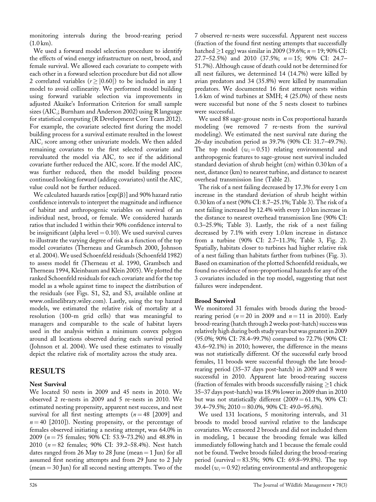monitoring intervals during the brood-rearing period  $(1.0 \,\mathrm{km})$ .

We used a forward model selection procedure to identify the effects of wind energy infrastructure on nest, brood, and female survival. We allowed each covariate to compete with each other in a forward selection procedure but did not allow 2 correlated variables ( $r \ge |0.60|$ ) to be included in any 1 model to avoid collinearity. We performed model building using forward variable selection via improvements in adjusted Akaike's Information Criterion for small sample sizes (AIC $_{c}$ ; Burnham and Anderson 2002) using R language for statistical computing (R Development Core Team 2012). For example, the covariate selected first during the model building process for a survival estimate resulted in the lowest  $AIC<sub>c</sub>$  score among other univariate models. We then added remaining covariates to the first selected covariate and reevaluated the model via  $AIC_c$  to see if the additional covariate further reduced the  $AIC_c$  score. If the model  $AIC_c$ was further reduced, then the model building process continued looking forward (adding covariates) until the  $AIC_c$ value could not be further reduced.

We calculated hazards ratios  $[exp(\beta)]$  and 90% hazard ratio confidence intervals to interpret the magnitude and influence of habitat and anthropogenic variables on survival of an individual nest, brood, or female. We considered hazards ratios that included 1 within their 90% confidence interval to be insignificant (alpha level  $= 0.10$ ). We used survival curves to illustrate the varying degree of risk as a function of the top model covariates (Therneau and Grambsch 2000, Johnson et al. 2004). We used Schoenfeld residuals (Schoenfeld 1982) to assess model fit (Therneau et al. 1990, Grambsch and Therneau 1994, Kleinbaum and Klein 2005). We plotted the ranked Schoenfeld residuals for each covariate and for the top model as a whole against time to inspect the distribution of the residuals (see Figs. S1, S2, and S3, available online at [www.onlinelibrary.wiley.com\)](http://www.onlinelibrary.wiley.com/). Lastly, using the top hazard models, we estimated the relative risk of mortality at a resolution (100-m grid cells) that was meaningful to managers and comparable to the scale of habitat layers used in the analysis within a minimum convex polygon around all locations observed during each survival period (Johnson et al. 2004). We used these estimates to visually depict the relative risk of mortality across the study area.

## RESULTS

#### Nest Survival

We located 50 nests in 2009 and 45 nests in 2010. We observed 2 re-nests in 2009 and 5 re-nests in 2010. We estimated nesting propensity, apparent nest success, and nest survival for all first nesting attempts  $(n = 48 \, [2009]$  and  $n = 40$  [2010]). Nesting propensity, or the percentage of females observed initiating a nesting attempt, was 64.0% in 2009 ( $n = 75$  females; 90% CI: 53.9–73.2%) and 48.8% in 2010 ( $n = 82$  females; 90% CI: 39.2-58.4%). Nest hatch dates ranged from 26 May to 28 June (mean  $=$  1 Jun) for all assumed first nesting attempts and from 29 June to 2 July  $(mean = 30 Jun)$  for all second nesting attempts. Two of the

7 observed re-nests were successful. Apparent nest success (fraction of the found first nesting attempts that successfully hatched  $\geq 1$  egg) was similar in 2009 (39.6%; n = 19; 90% CI: 27.7–52.5%) and 2010 (37.5%;  $n = 15$ ; 90% CI: 24.7– 51.7%). Although cause of death could not be determined for all nest failures, we determined 14 (14.7%) were killed by avian predators and 34 (35.8%) were killed by mammalian predators. We documented 16 first attempt nests within 1.6 km of wind turbines at SMH; 4 (25.0%) of these nests were successful but none of the 5 nests closest to turbines were successful.

We used 88 sage-grouse nests in Cox proportional hazards modeling (we removed 7 re-nests from the survival modeling). We estimated the nest survival rate during the 26-day incubation period as 39.7% (90% CI: 31.7–49.7%). The top model  $(w_i = 0.51)$  relating environmental and anthropogenic features to sage-grouse nest survival included standard deviation of shrub height (cm) within 0.30 km of a nest, distance (km) to nearest turbine, and distance to nearest overhead transmission line (Table 2).

The risk of a nest failing decreased by 17.3% for every 1 cm increase in the standard deviation of shrub height within 0.30 km of a nest (90% CI: 8.7–25.1%; Table 3). The risk of a nest failing increased by 12.4% with every 1.0 km increase in the distance to nearest overhead transmission line (90% CI: 0.3–25.9%; Table 3). Lastly, the risk of a nest failing decreased by 7.1% with every 1.0 km increase in distance from a turbine (90% CI: 2.7–11.3%; Table 3, Fig. 2). Spatially, habitats closer to turbines had higher relative risk of a nest failing than habitats farther from turbines (Fig. 3). Based on examination of the plotted Schoenfeld residuals, we found no evidence of non-proportional hazards for any of the 3 covariates included in the top model, suggesting that nest failures were independent.

#### Brood Survival

We monitored 31 females with broods during the broodrearing period ( $n = 20$  in 2009 and  $n = 11$  in 2010). Early brood-rearing (hatch through 2 weeks post-hatch) success was relatively high during both study years but was greatest in 2009 (95.0%; 90% CI: 78.4–99.7%) compared to 72.7% (90% CI: 43.6–92.1%) in 2010; however, the difference in the means was not statistically different. Of the successful early brood females, 11 broods were successful through the late broodrearing period (35–37 days post-hatch) in 2009 and 8 were successful in 2010. Apparent late brood-rearing success (fraction of females with broods successfully raising  $\geq 1$  chick 35–37 days post-hatch) was 18.9% lower in 2009 than in 2010 but was not statistically different  $(2009 = 61.1\%, 90\% \text{ CI:}$  $39.4 - 79.5\%$ ;  $2010 = 80.0\%$ ,  $90\%$  CI:  $49.0 - 95.6\%$ ).

We used 131 locations, 5 monitoring intervals, and 31 broods to model brood survival relative to the landscape covariates. We censored 2 broods and did not included them in modeling, 1 because the brooding female was killed immediately following hatch and 1 because the female could not be found. Twelve broods failed during the brood-rearing period (survival = 83.5%; 90% CI: 69.8–99.8%). The top model ( $w_i$  = 0.92) relating environmental and anthropogenic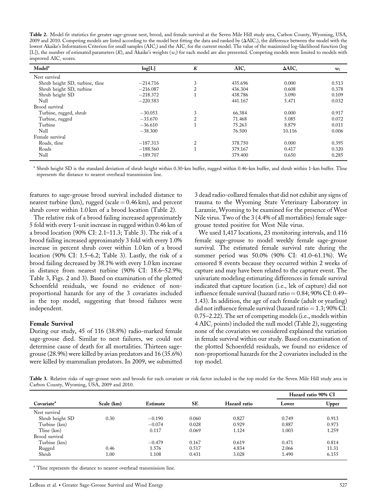Table 2. Model fit statistics for greater sage-grouse nest, brood, and female survival at the Seven Mile Hill study area, Carbon County, Wyoming, USA, 2009 and 2010. Competing models are listed according to the model best fitting the data and ranked by ( $\Delta AIC$ ), the difference between the model with the lowest Akaike's Information Criterion for small samples (AIC<sub>c</sub>) and the AIC<sub>c</sub> for the current model. The value of the maximized log-likelihood function (log [L]), the number of estimated parameters (K), and Akaike's weights (wi) for each model are also presented. Competing models were limited to models with improved  $AIC<sub>c</sub>$  scores.

| Model <sup>a</sup>              | log[L]     | $\boldsymbol{K}$ | $AIC_c$ | $\Delta AIC_c$ | $w_i$ |
|---------------------------------|------------|------------------|---------|----------------|-------|
| Nest survival                   |            |                  |         |                |       |
| Shrub height SD, turbine, tline | $-214.716$ | 3                | 435.696 | 0.000          | 0.513 |
| Shrub height SD, turbine        | $-216.087$ | 2                | 436.304 | 0.608          | 0.378 |
| Shrub height SD                 | $-218.372$ |                  | 438.786 | 3.090          | 0.109 |
| Null                            | $-220.583$ |                  | 441.167 | 5.471          | 0.032 |
| Brood survival                  |            |                  |         |                |       |
| Turbine, rugged, shrub          | $-30.053$  | 3                | 66.384  | 0.000          | 0.917 |
| Turbine, rugged                 | $-33.670$  | 2                | 71.468  | 5.085          | 0.072 |
| Turbine                         | $-36.610$  |                  | 75.263  | 8.879          | 0.011 |
| Null                            | $-38,300$  |                  | 76.500  | 10.116         | 0.006 |
| Female survival                 |            |                  |         |                |       |
| Roads, tline                    | $-187.313$ | 2                | 378.750 | 0.000          | 0.395 |
| Roads                           | $-188.560$ |                  | 379.167 | 0.417          | 0.320 |
| Null                            | $-189.707$ |                  | 379.400 | 0.650          | 0.285 |

<sup>a</sup> Shrub height SD is the standard deviation of shrub height within 0.30-km buffer, rugged within 0.46-km buffer, and shrub within 1-km buffer. Tline represents the distance to nearest overhead transmission line.

features to sage-grouse brood survival included distance to nearest turbine (km), rugged (scale  $= 0.46$  km), and percent shrub cover within 1.0 km of a brood location (Table 2).

The relative risk of a brood failing increased approximately 5 fold with every 1-unit increase in rugged within 0.46 km of a brood location (90% CI: 2.1–11.3; Table 3). The risk of a brood failing increased approximately 3 fold with every 1.0% increase in percent shrub cover within 1.0 km of a brood location (90% CI: 1.5–6.2; Table 3). Lastly, the risk of a brood failing decreased by 38.1% with every 1.0 km increase in distance from nearest turbine (90% CI: 18.6–52.9%; Table 3, Figs. 2 and 3). Based on examination of the plotted Schoenfeld residuals, we found no evidence of nonproportional hazards for any of the 3 covariates included in the top model, suggesting that brood failures were independent.

#### Female Survival

During our study, 45 of 116 (38.8%) radio-marked female sage-grouse died. Similar to nest failures, we could not determine cause of death for all mortalities. Thirteen sagegrouse (28.9%) were killed by avian predators and 16 (35.6%) were killed by mammalian predators. In 2009, we submitted

3 dead radio-collared females that did not exhibit any signs of trauma to the Wyoming State Veterinary Laboratory in Laramie, Wyoming to be examined for the presence of West Nile virus. Two of the 3 (4.4% of all mortalities) female sagegrouse tested positive for West Nile virus.

We used 1,417 locations, 23 monitoring intervals, and 116 female sage-grouse to model weekly female sage-grouse survival. The estimated female survival rate during the summer period was 50.0% (90% CI: 41.0–61.1%). We censored 8 events because they occurred within 2 weeks of capture and may have been related to the capture event. The univariate modeling estimating differences in female survival indicated that capture location (i.e., lek of capture) did not influence female survival (hazard ratio  $= 0.84$ ; 90% CI: 0.49-1.43). In addition, the age of each female (adult or yearling) did not influence female survival (hazard ratio  $= 1.3$ ; 90% CI: 0.75–2.22). The set of competing models (i.e., models within  $4 AIC<sub>c</sub>$  points) included the null model (Table 2), suggesting none of the covariates we considered explained the variation in female survival within our study. Based on examination of the plotted Schoenfeld residuals, we found no evidence of non-proportional hazards for the 2 covariates included in the top model.

Table 3. Relative risks of sage-grouse nests and broods for each covariate or risk factor included in the top model for the Seven Mile Hill study area in Carbon County, Wyoming, USA, 2009 and 2010.

|                        |            |          |           |              | Hazard ratio 90% CI |       |
|------------------------|------------|----------|-----------|--------------|---------------------|-------|
| Covariate <sup>a</sup> | Scale (km) | Estimate | <b>SE</b> | Hazard ratio | Lower               | Upper |
| Nest survival          |            |          |           |              |                     |       |
| Shrub height SD        | 0.30       | $-0.190$ | 0.060     | 0.827        | 0.749               | 0.913 |
| Turbine (km)           |            | $-0.074$ | 0.028     | 0.929        | 0.887               | 0.973 |
| Tline (km)             |            | 0.117    | 0.069     | 1.124        | 1.003               | 1.259 |
| Brood survival         |            |          |           |              |                     |       |
| Turbine (km)           |            | $-0.479$ | 0.167     | 0.619        | 0.471               | 0.814 |
| Rugged                 | 0.46       | 1.576    | 0.517     | 4.834        | 2.066               | 11.31 |
| Shrub                  | 1.00       | 1.108    | 0.431     | 3.028        | 1.490               | 6.155 |

<sup>a</sup> Tline represents the distance to nearest overhead transmission line.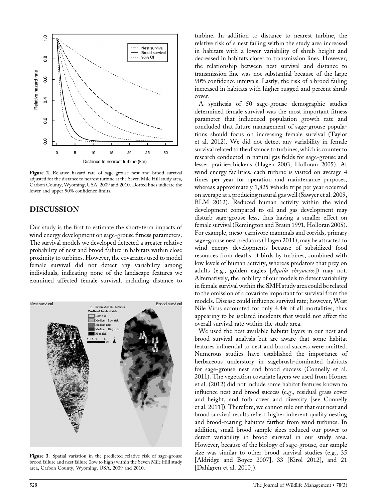

Figure 2. Relative hazard rate of sage-grouse nest and brood survival adjusted for the distance to nearest turbine at the Seven Mile Hill study area, Carbon County, Wyoming, USA, 2009 and 2010. Dotted lines indicate the lower and upper 90% confidence limits.

## DISCUSSION

Our study is the first to estimate the short-term impacts of wind energy development on sage-grouse fitness parameters. The survival models we developed detected a greater relative probability of nest and brood failure in habitats within close proximity to turbines. However, the covariates used to model female survival did not detect any variability among individuals, indicating none of the landscape features we examined affected female survival, including distance to



Figure 3. Spatial variation in the predicted relative risk of sage-grouse brood failure and nest failure (low to high) within the Seven Mile Hill study area, Carbon County, Wyoming, USA, 2009 and 2010.

turbine. In addition to distance to nearest turbine, the relative risk of a nest failing within the study area increased in habitats with a lower variability of shrub height and decreased in habitats closer to transmission lines. However, the relationship between nest survival and distance to transmission line was not substantial because of the large 90% confidence intervals. Lastly, the risk of a brood failing increased in habitats with higher rugged and percent shrub cover.

A synthesis of 50 sage-grouse demographic studies determined female survival was the most important fitness parameter that influenced population growth rate and concluded that future management of sage-grouse populations should focus on increasing female survival (Taylor et al. 2012). We did not detect any variability in female survival related to the distance to turbines, which is counter to research conducted in natural gas fields for sage-grouse and lesser prairie-chickens (Hagen 2003, Holloran 2005). At wind energy facilities, each turbine is visited on average 4 times per year for operation and maintenance purposes, whereas approximately 1,825 vehicle trips per year occurred on average at a producing natural gas well (Sawyer et al. 2009, BLM 2012). Reduced human activity within the wind development compared to oil and gas development may disturb sage-grouse less, thus having a smaller effect on female survival (Remington and Braun 1991, Holloran 2005). For example, meso-carnivore mammals and corvids, primary sage-grouse nest predators (Hagen 2011), may be attracted to wind energy developments because of subsidized food resources from deaths of birds by turbines, combined with low levels of human activity, whereas predators that prey on adults (e.g., golden eagles [Aquila chrysaetos]) may not. Alternatively, the inability of our models to detect variability in female survival within the SMH study area could be related to the omission of a covariate important for survival from the models. Disease could influence survival rate; however, West Nile Virus accounted for only 4.4% of all mortalities, thus appearing to be isolated incidents that would not affect the overall survival rate within the study area.

We used the best available habitat layers in our nest and brood survival analysis but are aware that some habitat features influential to nest and brood success were omitted. Numerous studies have established the importance of herbaceous understory in sagebrush-dominated habitats for sage-grouse nest and brood success (Connelly et al. 2011). The vegetation covariate layers we used from Homer et al. (2012) did not include some habitat features known to influence nest and brood success (e.g., residual grass cover and height, and forb cover and diversity [see Connelly et al. 2011]). Therefore, we cannot rule out that our nest and brood survival results reflect higher inherent quality nesting and brood-rearing habitats farther from wind turbines. In addition, small brood sample sizes reduced our power to detect variability in brood survival in our study area. However, because of the biology of sage-grouse, our sample size was similar to other brood survival studies (e.g., 35 [Aldridge and Boyce 2007], 33 [Kirol 2012], and 21 [Dahlgren et al. 2010]).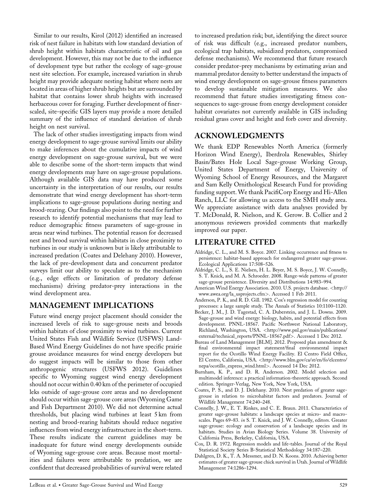Similar to our results, Kirol (2012) identified an increased risk of nest failure in habitats with low standard deviation of shrub height within habitats characteristic of oil and gas development. However, this may not be due to the influence of development type but rather the ecology of sage-grouse nest site selection. For example, increased variation in shrub height may provide adequate nesting habitat where nests are located in areas of higher shrub heights but are surrounded by habitat that contains lower shrub heights with increased herbaceous cover for foraging. Further development of finerscaled, site-specific GIS layers may provide a more detailed summary of the influence of standard deviation of shrub height on nest survival.

The lack of other studies investigating impacts from wind energy development to sage-grouse survival limits our ability to make inferences about the cumulative impacts of wind energy development on sage-grouse survival, but we were able to describe some of the short-term impacts that wind energy developments may have on sage-grouse populations. Although available GIS data may have produced some uncertainty in the interpretation of our results, our results demonstrate that wind energy development has short-term implications to sage-grouse populations during nesting and brood-rearing. Our findings also point to the need for further research to identify potential mechanisms that may lead to reduce demographic fitness parameters of sage-grouse in areas near wind turbines. The potential reason for decreased nest and brood survival within habitats in close proximity to turbines in our study is unknown but is likely attributable to increased predation (Coates and Delehany 2010). However, the lack of pre-development data and concurrent predator surveys limit our ability to speculate as to the mechanism (e.g., edge effects or limitation of predatory defense mechanisms) driving predator-prey interactions in the wind development area.

# MANAGEMENT IMPLICATIONS

Future wind energy project placement should consider the increased levels of risk to sage-grouse nests and broods within habitats of close proximity to wind turbines. Current United States Fish and Wildlife Service (USFWS) Land-Based Wind Energy Guidelines do not have specific prairie grouse avoidance measures for wind energy developers but do suggest impacts will be similar to those from other anthropogenic structures (USFWS 2012). Guidelines specific to Wyoming suggest wind energy development should not occur within 0.40 km of the perimeter of occupied leks outside of sage-grouse core areas and no development should occur within sage-grouse core areas (Wyoming Game and Fish Department 2010). We did not determine actual thresholds, but placing wind turbines at least 5 km from nesting and brood-rearing habitats should reduce negative influences from wind energy infrastructure in the short-term. These results indicate the current guidelines may be inadequate for future wind energy developments outside of Wyoming sage-grouse core areas. Because most mortalities and failures were attributable to predation, we are confident that decreased probabilities of survival were related

to increased predation risk; but, identifying the direct source of risk was difficult (e.g., increased predator numbers, ecological trap habitats, subsidized predators, compromised defense mechanisms). We recommend that future research consider predator-prey mechanisms by estimating avian and mammal predator density to better understand the impacts of wind energy development on sage-grouse fitness parameters to develop sustainable mitigation measures. We also recommend that future studies investigating fitness consequences to sage-grouse from energy development consider habitat covariates not currently available in GIS including residual grass cover and height and forb cover and diversity.

# ACKNOWLEDGMENTS

We thank EDP Renewables North America (formerly Horizon Wind Energy), Iberdrola Renewables, Shirley Basin/Bates Hole Local Sage-grouse Working Group, United States Department of Energy, University of Wyoming School of Energy Resources, and the Margaret and Sam Kelly Ornithological Research Fund for providing funding support. We thank PacifiCorp Energy and Hi-Allen Ranch, LLC for allowing us access to the SMH study area. We appreciate assistance with data analyses provided by T. McDonald, R. Nielson, and K. Gerow. B. Collier and 2 anonymous reviewers provided comments that markedly improved our paper.

# LITERATURE CITED

- Aldridge, C. L., and M. S. Boyce. 2007. Linking occurrence and fitness to persistence: habitat-based approach for endangered greater sage-grouse. Ecological Applications 17:508–526.
- Aldridge, C. L., S. E. Nielsen, H. L. Beyer, M. S. Boyce, J. W. Connelly, S. T. Knick, and M. A. Schroeder. 2008. Range-wide patterns of greater sage-grouse persistence. Diversity and Distributions 14:983–994.
- American Wind Energy Association. 2010. U.S. projects database. <[http://](http://www.awea.org/la_usprojects.cfm) [www.awea.org/la\\_usprojects.cfm](http://www.awea.org/la_usprojects.cfm)>. Accessed 1 Feb 2011.
- Anderson, P. K., and R. D. Gill. 1982. Cox's regression model for counting processes: a large sample study. The Annals of Statistics 10:1100–1120.
- Becker, J. M., J. D. Tagestad, C. A. Duberstein, and J. L. Downs. 2009. Sage-grouse and wind energy: biology, habits, and potential effects from development. PNNL-18567. Pacific Northwest National Laboratory, Richland, Washington, USA. <[http://www.pnl.gov/main/publications/](http://www.pnl.gov/main/publications/external/technical_reports/PNNL-18567.pdf) [external/technical\\_reports/PNNL-18567.pdf](http://www.pnl.gov/main/publications/external/technical_reports/PNNL-18567.pdf)>. Accessed 1 Dec 2012.
- Bureau of Land Management [BLM]. 2012. Proposed plan amendment & final environmental impact statement/final environmental impact report for the Ocotillo Wind Energy Facility. El Centro Field Office, El Centro, California, USA. <[http://www.blm.gov/ca/st/en/fo/elcentro/](http://www.blm.gov/ca/st/en/fo/elcentro/nepa/ocotillo_express_wind.html) [nepa/ocotillo\\_express\\_wind.html](http://www.blm.gov/ca/st/en/fo/elcentro/nepa/ocotillo_express_wind.html)>. Accessed 14 Dec 2012.
- Burnham, K. P., and D. R. Anderson. 2002. Model selection and multimodel inference: a practical information-theoretic approach. Second edition. Springer-Verlag, New York, New York, USA.
- Coates, P. S., and D. J. Delehany. 2010. Nest predation of greater sagegrouse in relation to microhabitat factors and predators. Journal of Wildlife Management 74:240–248.
- Connelly, J. W., E. T. Rinkes, and C. E. Braun. 2011. Characteristics of greater sage-grouse habitats: a landscape species at micro- and macroscales. Pages 69–83. in S. T. Knick, and J. W. Connelly, editors. Greater sage-grouse: ecology and conservation of a landscape species and its habitats. Studies in Avian Biology Series. Volume 38. University of California Press, Berkeley, California, USA.
- Cox, D. R. 1972. Regression models and life-tables. Journal of the Royal Statistical Society Series B-Statistical Methodology 34:187–220.
- Dahlgren, D. K., T. A. Messmer, and D. N. Koons. 2010. Achieving better estimates of greater sage-grouse chick survival in Utah. Journal of Wildlife Management 74:1286–1294.